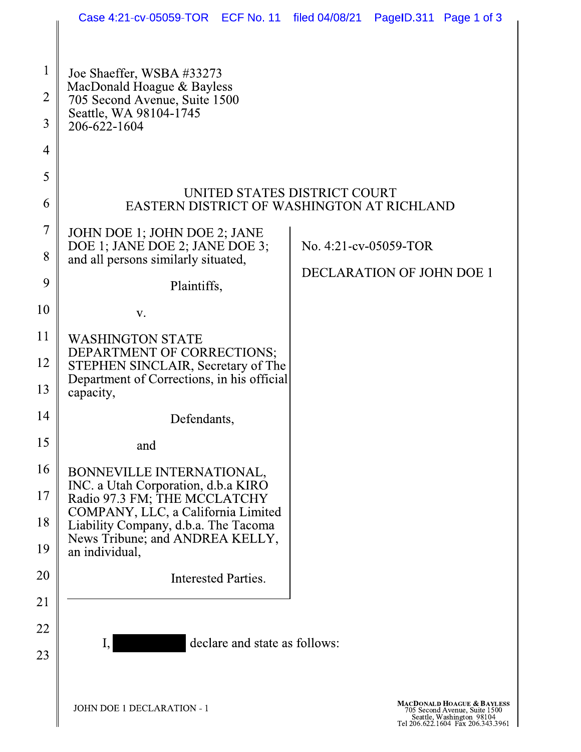|                                | Case 4:21-cv-05059-TOR ECF No. 11 filed 04/08/21 PageID.311 Page 1 of 3                                                                                                                                                             |                                                                                                                               |                                                           |  |  |
|--------------------------------|-------------------------------------------------------------------------------------------------------------------------------------------------------------------------------------------------------------------------------------|-------------------------------------------------------------------------------------------------------------------------------|-----------------------------------------------------------|--|--|
|                                |                                                                                                                                                                                                                                     |                                                                                                                               |                                                           |  |  |
| $\mathbf{1}$<br>$\overline{2}$ | Joe Shaeffer, WSBA #33273<br>MacDonald Hoague & Bayless<br>705 Second Avenue, Suite 1500<br>Seattle, WA 98104-1745<br>206-622-1604                                                                                                  |                                                                                                                               |                                                           |  |  |
| 3                              |                                                                                                                                                                                                                                     |                                                                                                                               |                                                           |  |  |
| $\overline{4}$                 |                                                                                                                                                                                                                                     |                                                                                                                               |                                                           |  |  |
| 5                              |                                                                                                                                                                                                                                     |                                                                                                                               |                                                           |  |  |
| 6                              | UNITED STATES DISTRICT COURT<br>EASTERN DISTRICT OF WASHINGTON AT RICHLAND                                                                                                                                                          |                                                                                                                               |                                                           |  |  |
| $\overline{7}$                 | JOHN DOE 1; JOHN DOE 2; JANE<br>DOE 1; JANE DOE 2; JANE DOE 3;<br>and all persons similarly situated,<br>Plaintiffs,                                                                                                                |                                                                                                                               | No. 4:21-cv-05059-TOR<br><b>DECLARATION OF JOHN DOE 1</b> |  |  |
| 8                              |                                                                                                                                                                                                                                     |                                                                                                                               |                                                           |  |  |
| 9                              |                                                                                                                                                                                                                                     |                                                                                                                               |                                                           |  |  |
| 10                             | V.                                                                                                                                                                                                                                  |                                                                                                                               |                                                           |  |  |
| 11                             | <b>WASHINGTON STATE</b><br>DEPARTMENT OF CORRECTIONS;<br>STEPHEN SINCLAIR, Secretary of The<br>Department of Corrections, in his official<br>capacity,                                                                              |                                                                                                                               |                                                           |  |  |
| 12                             |                                                                                                                                                                                                                                     |                                                                                                                               |                                                           |  |  |
| 13                             |                                                                                                                                                                                                                                     |                                                                                                                               |                                                           |  |  |
| 14                             | Defendants,                                                                                                                                                                                                                         |                                                                                                                               |                                                           |  |  |
| 15                             | and                                                                                                                                                                                                                                 |                                                                                                                               |                                                           |  |  |
| 16                             | BONNEVILLE INTERNATIONAL,<br>INC. a Utah Corporation, d.b.a KIRO<br>Radio 97.3 FM; THE MCCLATCHY<br>COMPANY, LLC, a California Limited<br>Liability Company, d.b.a. The Tacoma<br>News Tribune; and ANDREA KELLY,<br>an individual, |                                                                                                                               |                                                           |  |  |
| 17                             |                                                                                                                                                                                                                                     |                                                                                                                               |                                                           |  |  |
| 18                             |                                                                                                                                                                                                                                     |                                                                                                                               |                                                           |  |  |
| 19                             |                                                                                                                                                                                                                                     |                                                                                                                               |                                                           |  |  |
| 20                             | Interested Parties.                                                                                                                                                                                                                 |                                                                                                                               |                                                           |  |  |
| 21                             |                                                                                                                                                                                                                                     |                                                                                                                               |                                                           |  |  |
| 22                             | declare and state as follows:                                                                                                                                                                                                       |                                                                                                                               |                                                           |  |  |
| 23                             |                                                                                                                                                                                                                                     |                                                                                                                               |                                                           |  |  |
|                                |                                                                                                                                                                                                                                     |                                                                                                                               |                                                           |  |  |
|                                | JOHN DOE 1 DECLARATION - 1                                                                                                                                                                                                          | MACDONALD HOAGUE & BAYLESS<br>705 Second Avenue, Suite 1500<br>Seattle, Washington 98104<br>Tel 206.622.1604 Fax 206.343.3961 |                                                           |  |  |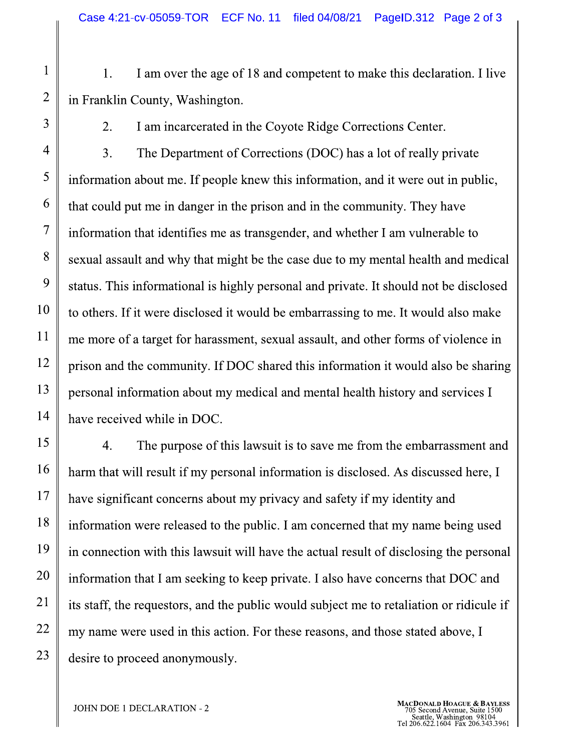1. I am over the age of 18 and competent to make this declaration. I live in Franklin County, Washington.

2.

 $\mathbf{1}$ 

 $\overline{2}$ 

3

I am incarcerated in the Coyote Ridge Corrections Center.

 $\overline{4}$ 3. The Department of Corrections (DOC) has a lot of really private 5 information about me. If people knew this information, and it were out in public, 6 that could put me in danger in the prison and in the community. They have  $\tau$ information that identifies me as transgender, and whether I am vulnerable to 8 sexual assault and why that might be the case due to my mental health and medical 9 status. This informational is highly personal and private. It should not be disclosed 10 to others. If it were disclosed it would be embarrassing to me. It would also make 11 me more of a target for harassment, sexual assault, and other forms of violence in 12 prison and the community. If DOC shared this information it would also be sharing 13 personal information about my medical and mental health history and services I 14 have received while in DOC.

15  $\overline{4}$ . The purpose of this lawsuit is to save me from the embarrassment and 16 harm that will result if my personal information is disclosed. As discussed here, I 17 have significant concerns about my privacy and safety if my identity and 18 information were released to the public. I am concerned that my name being used 19 in connection with this lawsuit will have the actual result of disclosing the personal 20 information that I am seeking to keep private. I also have concerns that DOC and 21 its staff, the requestors, and the public would subject me to retaliation or ridicule if 22 my name were used in this action. For these reasons, and those stated above, I 23 desire to proceed anonymously.